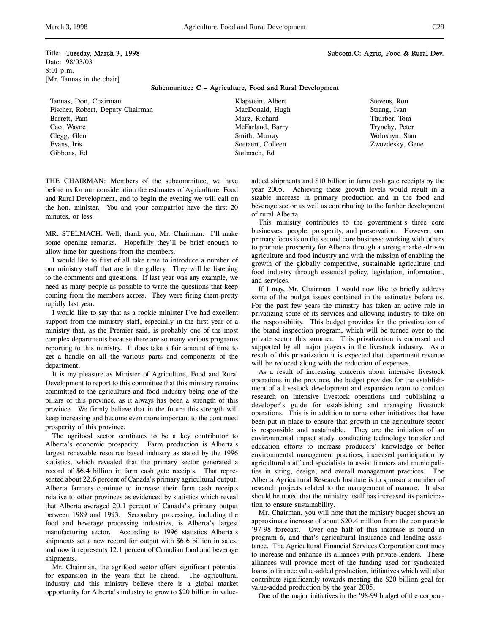# Title: Tuesday, March 3, 1998 Subcom.C: Agric, Food & Rural Dev. Date: 98/03/03 8:01 p.m. [Mr. Tannas in the chair]

Subcommittee C – Agriculture, Food and Rural Development

Tannas, Don, Chairman Fischer, Robert, Deputy Chairman Barrett, Pam Cao, Wayne Clegg, Glen Evans, Iris Gibbons, Ed

Klapstein, Albert MacDonald, Hugh Marz, Richard McFarland, Barry Smith, Murray Soetaert, Colleen Stelmach, Ed

Stevens, Ron Strang, Ivan Thurber, Tom Trynchy, Peter Woloshyn, Stan Zwozdesky, Gene

THE CHAIRMAN: Members of the subcommittee, we have before us for our consideration the estimates of Agriculture, Food and Rural Development, and to begin the evening we will call on the hon. minister. You and your compatriot have the first 20 minutes, or less.

MR. STELMACH: Well, thank you, Mr. Chairman. I'll make some opening remarks. Hopefully they'll be brief enough to allow time for questions from the members.

I would like to first of all take time to introduce a number of our ministry staff that are in the gallery. They will be listening to the comments and questions. If last year was any example, we need as many people as possible to write the questions that keep coming from the members across. They were firing them pretty rapidly last year.

I would like to say that as a rookie minister I've had excellent support from the ministry staff, especially in the first year of a ministry that, as the Premier said, is probably one of the most complex departments because there are so many various programs reporting to this ministry. It does take a fair amount of time to get a handle on all the various parts and components of the department.

It is my pleasure as Minister of Agriculture, Food and Rural Development to report to this committee that this ministry remains committed to the agriculture and food industry being one of the pillars of this province, as it always has been a strength of this province. We firmly believe that in the future this strength will keep increasing and become even more important to the continued prosperity of this province.

The agrifood sector continues to be a key contributor to Alberta's economic prosperity. Farm production is Alberta's largest renewable resource based industry as stated by the 1996 statistics, which revealed that the primary sector generated a record of \$6.4 billion in farm cash gate receipts. That represented about 22.6 percent of Canada's primary agricultural output. Alberta farmers continue to increase their farm cash receipts relative to other provinces as evidenced by statistics which reveal that Alberta averaged 20.1 percent of Canada's primary output between 1989 and 1993. Secondary processing, including the food and beverage processing industries, is Alberta's largest manufacturing sector. According to 1996 statistics Alberta's shipments set a new record for output with \$6.6 billion in sales, and now it represents 12.1 percent of Canadian food and beverage shipments.

Mr. Chairman, the agrifood sector offers significant potential for expansion in the years that lie ahead. The agricultural industry and this ministry believe there is a global market opportunity for Alberta's industry to grow to \$20 billion in valueadded shipments and \$10 billion in farm cash gate receipts by the year 2005. Achieving these growth levels would result in a sizable increase in primary production and in the food and beverage sector as well as contributing to the further development of rural Alberta.

This ministry contributes to the government's three core businesses: people, prosperity, and preservation. However, our primary focus is on the second core business: working with others to promote prosperity for Alberta through a strong market-driven agriculture and food industry and with the mission of enabling the growth of the globally competitive, sustainable agriculture and food industry through essential policy, legislation, information, and services.

If I may, Mr. Chairman, I would now like to briefly address some of the budget issues contained in the estimates before us. For the past few years the ministry has taken an active role in privatizing some of its services and allowing industry to take on the responsibility. This budget provides for the privatization of the brand inspection program, which will be turned over to the private sector this summer. This privatization is endorsed and supported by all major players in the livestock industry. As a result of this privatization it is expected that department revenue will be reduced along with the reduction of expenses.

As a result of increasing concerns about intensive livestock operations in the province, the budget provides for the establishment of a livestock development and expansion team to conduct research on intensive livestock operations and publishing a developer's guide for establishing and managing livestock operations. This is in addition to some other initiatives that have been put in place to ensure that growth in the agriculture sector is responsible and sustainable. They are the initiation of an environmental impact study, conducting technology transfer and education efforts to increase producers' knowledge of better environmental management practices, increased participation by agricultural staff and specialists to assist farmers and municipalities in siting, design, and overall management practices. The Alberta Agricultural Research Institute is to sponsor a number of research projects related to the management of manure. It also should be noted that the ministry itself has increased its participation to ensure sustainability.

Mr. Chairman, you will note that the ministry budget shows an approximate increase of about \$20.4 million from the comparable '97-98 forecast. Over one half of this increase is found in program 6, and that's agricultural insurance and lending assistance. The Agricultural Financial Services Corporation continues to increase and enhance its alliances with private lenders. These alliances will provide most of the funding used for syndicated loans to finance value-added production, initiatives which will also contribute significantly towards meeting the \$20 billion goal for value-added production by the year 2005.

One of the major initiatives in the '98-99 budget of the corpora-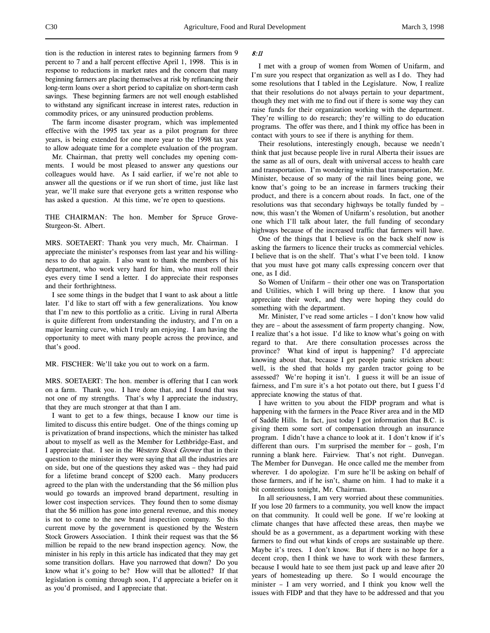tion is the reduction in interest rates to beginning farmers from 9 percent to 7 and a half percent effective April 1, 1998. This is in response to reductions in market rates and the concern that many beginning farmers are placing themselves at risk by refinancing their long-term loans over a short period to capitalize on short-term cash savings. These beginning farmers are not well enough established to withstand any significant increase in interest rates, reduction in commodity prices, or any uninsured production problems.

The farm income disaster program, which was implemented effective with the 1995 tax year as a pilot program for three years, is being extended for one more year to the 1998 tax year to allow adequate time for a complete evaluation of the program.

Mr. Chairman, that pretty well concludes my opening comments. I would be most pleased to answer any questions our colleagues would have. As I said earlier, if we're not able to answer all the questions or if we run short of time, just like last year, we'll make sure that everyone gets a written response who has asked a question. At this time, we're open to questions.

THE CHAIRMAN: The hon. Member for Spruce Grove-Sturgeon-St. Albert.

MRS. SOETAERT: Thank you very much, Mr. Chairman. I appreciate the minister's responses from last year and his willingness to do that again. I also want to thank the members of his department, who work very hard for him, who must roll their eyes every time I send a letter. I do appreciate their responses and their forthrightness.

I see some things in the budget that I want to ask about a little later. I'd like to start off with a few generalizations. You know that I'm new to this portfolio as a critic. Living in rural Alberta is quite different from understanding the industry, and I'm on a major learning curve, which I truly am enjoying. I am having the opportunity to meet with many people across the province, and that's good.

MR. FISCHER: We'll take you out to work on a farm.

MRS. SOETAERT: The hon. member is offering that I can work on a farm. Thank you. I have done that, and I found that was not one of my strengths. That's why I appreciate the industry, that they are much stronger at that than I am.

I want to get to a few things, because I know our time is limited to discuss this entire budget. One of the things coming up is privatization of brand inspections, which the minister has talked about to myself as well as the Member for Lethbridge-East, and I appreciate that. I see in the Western Stock Grower that in their question to the minister they were saying that all the industries are on side, but one of the questions they asked was – they had paid for a lifetime brand concept of \$200 each. Many producers agreed to the plan with the understanding that the \$6 million plus would go towards an improved brand department, resulting in lower cost inspection services. They found then to some dismay that the \$6 million has gone into general revenue, and this money is not to come to the new brand inspection company. So this current move by the government is questioned by the Western Stock Growers Association. I think their request was that the \$6 million be repaid to the new brand inspection agency. Now, the minister in his reply in this article has indicated that they may get some transition dollars. Have you narrowed that down? Do you know what it's going to be? How will that be allotted? If that legislation is coming through soon, I'd appreciate a briefer on it as you'd promised, and I appreciate that.

## 8:11

I met with a group of women from Women of Unifarm, and I'm sure you respect that organization as well as I do. They had some resolutions that I tabled in the Legislature. Now, I realize that their resolutions do not always pertain to your department, though they met with me to find out if there is some way they can raise funds for their organization working with the department. They're willing to do research; they're willing to do education programs. The offer was there, and I think my office has been in contact with yours to see if there is anything for them.

Their resolutions, interestingly enough, because we needn't think that just because people live in rural Alberta their issues are the same as all of ours, dealt with universal access to health care and transportation. I'm wondering within that transportation, Mr. Minister, because of so many of the rail lines being gone, we know that's going to be an increase in farmers trucking their product, and there is a concern about roads. In fact, one of the resolutions was that secondary highways be totally funded by – now, this wasn't the Women of Unifarm's resolution, but another one which I'll talk about later, the full funding of secondary highways because of the increased traffic that farmers will have.

One of the things that I believe is on the back shelf now is asking the farmers to licence their trucks as commercial vehicles. I believe that is on the shelf. That's what I've been told. I know that you must have got many calls expressing concern over that one, as I did.

So Women of Unifarm – their other one was on Transportation and Utilities, which I will bring up there. I know that you appreciate their work, and they were hoping they could do something with the department.

Mr. Minister, I've read some articles – I don't know how valid they are – about the assessment of farm property changing. Now, I realize that's a hot issue. I'd like to know what's going on with regard to that. Are there consultation processes across the province? What kind of input is happening? I'd appreciate knowing about that, because I get people panic stricken about: well, is the shed that holds my garden tractor going to be assessed? We're hoping it isn't. I guess it will be an issue of fairness, and I'm sure it's a hot potato out there, but I guess I'd appreciate knowing the status of that.

I have written to you about the FIDP program and what is happening with the farmers in the Peace River area and in the MD of Saddle Hills. In fact, just today I got information that B.C. is giving them some sort of compensation through an insurance program. I didn't have a chance to look at it. I don't know if it's different than ours. I'm surprised the member for – gosh, I'm running a blank here. Fairview. That's not right. Dunvegan. The Member for Dunvegan. He once called me the member from wherever. I do apologize. I'm sure he'll be asking on behalf of those farmers, and if he isn't, shame on him. I had to make it a bit contentious tonight, Mr. Chairman.

In all seriousness, I am very worried about these communities. If you lose 20 farmers to a community, you well know the impact on that community. It could well be gone. If we're looking at climate changes that have affected these areas, then maybe we should be as a government, as a department working with these farmers to find out what kinds of crops are sustainable up there. Maybe it's trees. I don't know. But if there is no hope for a decent crop, then I think we have to work with these farmers, because I would hate to see them just pack up and leave after 20 years of homesteading up there. So I would encourage the minister – I am very worried, and I think you know well the issues with FIDP and that they have to be addressed and that you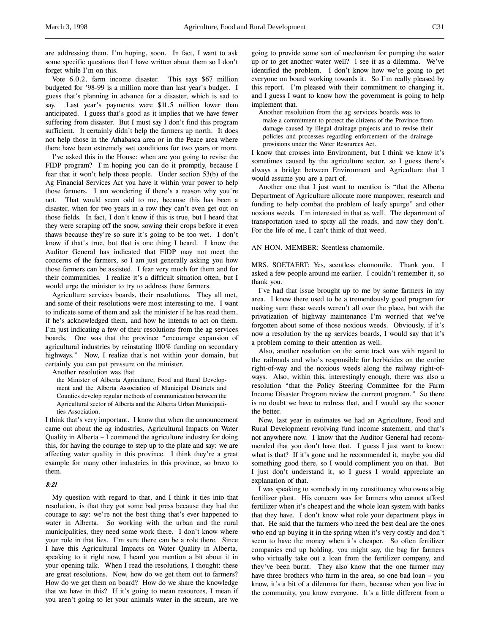are addressing them, I'm hoping, soon. In fact, I want to ask some specific questions that I have written about them so I don't forget while I'm on this.

Vote 6.0.2, farm income disaster. This says \$67 million budgeted for '98-99 is a million more than last year's budget. I guess that's planning in advance for a disaster, which is sad to say. Last year's payments were \$11.5 million lower than anticipated. I guess that's good as it implies that we have fewer suffering from disaster. But I must say I don't find this program sufficient. It certainly didn't help the farmers up north. It does not help those in the Athabasca area or in the Peace area where there have been extremely wet conditions for two years or more.

I've asked this in the House: when are you going to revise the FIDP program? I'm hoping you can do it promptly, because I fear that it won't help those people. Under section 53(b) of the Ag Financial Services Act you have it within your power to help those farmers. I am wondering if there's a reason why you're not. That would seem odd to me, because this has been a disaster, when for two years in a row they can't even get out on those fields. In fact, I don't know if this is true, but I heard that they were scraping off the snow, sowing their crops before it even thaws because they're so sure it's going to be too wet. I don't know if that's true, but that is one thing I heard. I know the Auditor General has indicated that FIDP may not meet the concerns of the farmers, so I am just generally asking you how those farmers can be assisted. I fear very much for them and for their communities. I realize it's a difficult situation often, but I would urge the minister to try to address those farmers.

Agriculture services boards, their resolutions. They all met, and some of their resolutions were most interesting to me. I want to indicate some of them and ask the minister if he has read them, if he's acknowledged them, and how he intends to act on them. I'm just indicating a few of their resolutions from the ag services boards. One was that the province "encourage expansion of agricultural industries by reinstating 100% funding on secondary highways." Now, I realize that's not within your domain, but certainly you can put pressure on the minister.

Another resolution was that

the Minister of Alberta Agriculture, Food and Rural Development and the Alberta Association of Municipal Districts and Counties develop regular methods of communication between the Agricultural sector of Alberta and the Alberta Urban Municipalities Association.

I think that's very important. I know that when the announcement came out about the ag industries, Agricultural Impacts on Water Quality in Alberta – I commend the agriculture industry for doing this, for having the courage to step up to the plate and say: we are affecting water quality in this province. I think they're a great example for many other industries in this province, so bravo to them.

### 8:21

My question with regard to that, and I think it ties into that resolution, is that they got some bad press because they had the courage to say: we're not the best thing that's ever happened to water in Alberta. So working with the urban and the rural municipalities, they need some work there. I don't know where your role in that lies. I'm sure there can be a role there. Since I have this Agricultural Impacts on Water Quality in Alberta, speaking to it right now, I heard you mention a bit about it in your opening talk. When I read the resolutions, I thought: these are great resolutions. Now, how do we get them out to farmers? How do we get them on board? How do we share the knowledge that we have in this? If it's going to mean resources, I mean if you aren't going to let your animals water in the stream, are we

going to provide some sort of mechanism for pumping the water up or to get another water well? l see it as a dilemma. We've identified the problem. I don't know how we're going to get everyone on board working towards it. So I'm really pleased by this report. I'm pleased with their commitment to changing it, and I guess I want to know how the government is going to help implement that.

Another resolution from the ag services boards was to make a commitment to protect the citizens of the Province from damage caused by illegal drainage projects and to revise their policies and processes regarding enforcement of the drainage provisions under the Water Resources Act.

I know that crosses into Environment, but I think we know it's sometimes caused by the agriculture sector, so I guess there's always a bridge between Environment and Agriculture that I would assume you are a part of.

Another one that I just want to mention is "that the Alberta Department of Agriculture allocate more manpower, research and funding to help combat the problem of leafy spurge" and other noxious weeds. I'm interested in that as well. The department of transportation used to spray all the roads, and now they don't. For the life of me, I can't think of that weed.

## AN HON. MEMBER: Scentless chamomile.

MRS. SOETAERT: Yes, scentless chamomile. Thank you. I asked a few people around me earlier. I couldn't remember it, so thank you.

I've had that issue brought up to me by some farmers in my area. I know there used to be a tremendously good program for making sure these weeds weren't all over the place, but with the privatization of highway maintenance I'm worried that we've forgotten about some of those noxious weeds. Obviously, if it's now a resolution by the ag services boards, I would say that it's a problem coming to their attention as well.

Also, another resolution on the same track was with regard to the railroads and who's responsible for herbicides on the entire right-of-way and the noxious weeds along the railway right-ofways. Also, within this, interestingly enough, there was also a resolution "that the Policy Steering Committee for the Farm Income Disaster Program review the current program." So there is no doubt we have to redress that, and I would say the sooner the better.

Now, last year in estimates we had an Agriculture, Food and Rural Development revolving fund income statement, and that's not anywhere now. I know that the Auditor General had recommended that you don't have that. I guess I just want to know: what is that? If it's gone and he recommended it, maybe you did something good there, so I would compliment you on that. But I just don't understand it, so I guess I would appreciate an explanation of that.

I was speaking to somebody in my constituency who owns a big fertilizer plant. His concern was for farmers who cannot afford fertilizer when it's cheapest and the whole loan system with banks that they have. I don't know what role your department plays in that. He said that the farmers who need the best deal are the ones who end up buying it in the spring when it's very costly and don't seem to have the money when it's cheaper. So often fertilizer companies end up holding, you might say, the bag for farmers who virtually take out a loan from the fertilizer company, and they've been burnt. They also know that the one farmer may have three brothers who farm in the area, so one bad loan – you know, it's a bit of a dilemma for them, because when you live in the community, you know everyone. It's a little different from a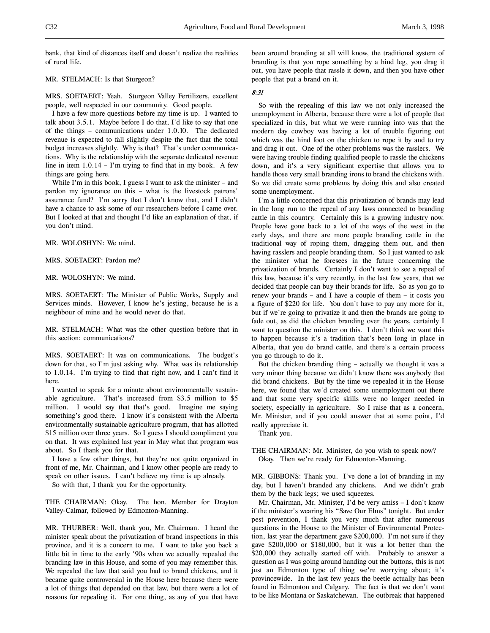bank, that kind of distances itself and doesn't realize the realities of rural life.

### MR. STELMACH: Is that Sturgeon?

MRS. SOETAERT: Yeah. Sturgeon Valley Fertilizers, excellent people, well respected in our community. Good people.

I have a few more questions before my time is up. I wanted to talk about 3.5.1. Maybe before I do that, I'd like to say that one of the things – communications under 1.0.10. The dedicated revenue is expected to fall slightly despite the fact that the total budget increases slightly. Why is that? That's under communications. Why is the relationship with the separate dedicated revenue line in item 1.0.14 – I'm trying to find that in my book. A few things are going here.

While I'm in this book, I guess I want to ask the minister – and pardon my ignorance on this – what is the livestock patrons' assurance fund? I'm sorry that I don't know that, and I didn't have a chance to ask some of our researchers before I came over. But I looked at that and thought I'd like an explanation of that, if you don't mind.

MR. WOLOSHYN: We mind.

MRS. SOETAERT: Pardon me?

MR. WOLOSHYN: We mind.

MRS. SOETAERT: The Minister of Public Works, Supply and Services minds. However, I know he's jesting, because he is a neighbour of mine and he would never do that.

MR. STELMACH: What was the other question before that in this section: communications?

MRS. SOETAERT: It was on communications. The budget's down for that, so I'm just asking why. What was its relationship to 1.0.14. I'm trying to find that right now, and I can't find it here.

I wanted to speak for a minute about environmentally sustainable agriculture. That's increased from \$3.5 million to \$5 million. I would say that that's good. Imagine me saying something's good there. I know it's consistent with the Alberta environmentally sustainable agriculture program, that has allotted \$15 million over three years. So I guess I should compliment you on that. It was explained last year in May what that program was about. So I thank you for that.

I have a few other things, but they're not quite organized in front of me, Mr. Chairman, and I know other people are ready to speak on other issues. I can't believe my time is up already.

So with that, I thank you for the opportunity.

THE CHAIRMAN: Okay. The hon. Member for Drayton Valley-Calmar, followed by Edmonton-Manning.

MR. THURBER: Well, thank you, Mr. Chairman. I heard the minister speak about the privatization of brand inspections in this province, and it is a concern to me. I want to take you back a little bit in time to the early '90s when we actually repealed the branding law in this House, and some of you may remember this. We repealed the law that said you had to brand chickens, and it became quite controversial in the House here because there were a lot of things that depended on that law, but there were a lot of reasons for repealing it. For one thing, as any of you that have

been around branding at all will know, the traditional system of branding is that you rope something by a hind leg, you drag it out, you have people that rassle it down, and then you have other people that put a brand on it.

# 8:31

So with the repealing of this law we not only increased the unemployment in Alberta, because there were a lot of people that specialized in this, but what we were running into was that the modern day cowboy was having a lot of trouble figuring out which was the hind foot on the chicken to rope it by and to try and drag it out. One of the other problems was the rasslers. We were having trouble finding qualified people to rassle the chickens down, and it's a very significant expertise that allows you to handle those very small branding irons to brand the chickens with. So we did create some problems by doing this and also created some unemployment.

I'm a little concerned that this privatization of brands may lead in the long run to the repeal of any laws connected to branding cattle in this country. Certainly this is a growing industry now. People have gone back to a lot of the ways of the west in the early days, and there are more people branding cattle in the traditional way of roping them, dragging them out, and then having rasslers and people branding them. So I just wanted to ask the minister what he foresees in the future concerning the privatization of brands. Certainly I don't want to see a repeal of this law, because it's very recently, in the last few years, that we decided that people can buy their brands for life. So as you go to renew your brands – and I have a couple of them – it costs you a figure of \$220 for life. You don't have to pay any more for it, but if we're going to privatize it and then the brands are going to fade out, as did the chicken branding over the years, certainly I want to question the minister on this. I don't think we want this to happen because it's a tradition that's been long in place in Alberta, that you do brand cattle, and there's a certain process you go through to do it.

But the chicken branding thing – actually we thought it was a very minor thing because we didn't know there was anybody that did brand chickens. But by the time we repealed it in the House here, we found that we'd created some unemployment out there and that some very specific skills were no longer needed in society, especially in agriculture. So I raise that as a concern, Mr. Minister, and if you could answer that at some point, I'd really appreciate it.

Thank you.

THE CHAIRMAN: Mr. Minister, do you wish to speak now? Okay. Then we're ready for Edmonton-Manning.

MR. GIBBONS: Thank you. I've done a lot of branding in my day, but I haven't branded any chickens. And we didn't grab them by the back legs; we used squeezes.

Mr. Chairman, Mr. Minister, I'd be very amiss – I don't know if the minister's wearing his "Save Our Elms" tonight. But under pest prevention, I thank you very much that after numerous questions in the House to the Minister of Environmental Protection, last year the department gave \$200,000. I'm not sure if they gave \$200,000 or \$180,000, but it was a lot better than the \$20,000 they actually started off with. Probably to answer a question as I was going around handing out the buttons, this is not just an Edmonton type of thing we're worrying about; it's provincewide. In the last few years the beetle actually has been found in Edmonton and Calgary. The fact is that we don't want to be like Montana or Saskatchewan. The outbreak that happened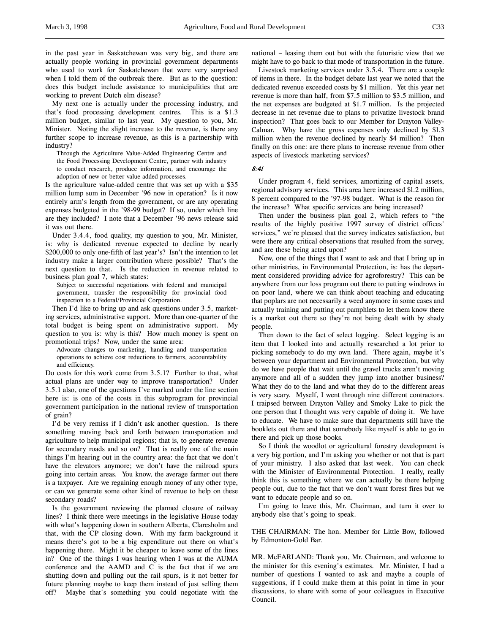in the past year in Saskatchewan was very big, and there are actually people working in provincial government departments who used to work for Saskatchewan that were very surprised when I told them of the outbreak there. But as to the question: does this budget include assistance to municipalities that are working to prevent Dutch elm disease?

My next one is actually under the processing industry, and that's food processing development centres. This is a \$1.3 million budget, similar to last year. My question to you, Mr. Minister. Noting the slight increase to the revenue, is there any further scope to increase revenue, as this is a partnership with industry?

Through the Agriculture Value-Added Engineering Centre and the Food Processing Development Centre, partner with industry to conduct research, produce information, and encourage the adoption of new or better value added processes.

Is the agriculture value-added centre that was set up with a \$35 million lump sum in December '96 now in operation? Is it now entirely arm's length from the government, or are any operating expenses budgeted in the '98-99 budget? If so, under which line are they included? I note that a December '96 news release said it was out there.

Under 3.4.4, food quality, my question to you, Mr. Minister, is: why is dedicated revenue expected to decline by nearly \$200,000 to only one-fifth of last year's? Isn't the intention to let industry make a larger contribution where possible? That's the next question to that. Is the reduction in revenue related to business plan goal 7, which states:

Subject to successful negotiations with federal and municipal government, transfer the responsibility for provincial food inspection to a Federal/Provincial Corporation.

Then I'd like to bring up and ask questions under 3.5, marketing services, administrative support. More than one-quarter of the total budget is being spent on administrative support. My question to you is: why is this? How much money is spent on promotional trips? Now, under the same area:

Advocate changes to marketing, handling and transportation operations to achieve cost reductions to farmers, accountability and efficiency.

Do costs for this work come from 3.5.1? Further to that, what actual plans are under way to improve transportation? Under 3.5.1 also, one of the questions I've marked under the line section here is: is one of the costs in this subprogram for provincial government participation in the national review of transportation of grain?

I'd be very remiss if I didn't ask another question. Is there something moving back and forth between transportation and agriculture to help municipal regions; that is, to generate revenue for secondary roads and so on? That is really one of the main things I'm hearing out in the country area: the fact that we don't have the elevators anymore; we don't have the railroad spurs going into certain areas. You know, the average farmer out there is a taxpayer. Are we regaining enough money of any other type, or can we generate some other kind of revenue to help on these secondary roads?

Is the government reviewing the planned closure of railway lines? I think there were meetings in the legislative House today with what's happening down in southern Alberta, Claresholm and that, with the CP closing down. With my farm background it means there's got to be a big expenditure out there on what's happening there. Might it be cheaper to leave some of the lines in? One of the things I was hearing when I was at the AUMA conference and the AAMD and C is the fact that if we are shutting down and pulling out the rail spurs, is it not better for future planning maybe to keep them instead of just selling them off? Maybe that's something you could negotiate with the

national – leasing them out but with the futuristic view that we might have to go back to that mode of transportation in the future.

Livestock marketing services under 3.5.4. There are a couple of items in there. In the budget debate last year we noted that the dedicated revenue exceeded costs by \$1 million. Yet this year net revenue is more than half, from \$7.5 million to \$3.5 million, and the net expenses are budgeted at \$1.7 million. Is the projected decrease in net revenue due to plans to privatize livestock brand inspection? That goes back to our Member for Drayton Valley-Calmar. Why have the gross expenses only declined by \$l.3 million when the revenue declined by nearly \$4 million? Then finally on this one: are there plans to increase revenue from other aspects of livestock marketing services?

8:41

Under program 4, field services, amortizing of capital assets, regional advisory services. This area here increased \$l.2 million, 8 percent compared to the '97-98 budget. What is the reason for the increase? What specific services are being increased?

Then under the business plan goal 2, which refers to "the results of the highly positive 1997 survey of district offices' services," we're pleased that the survey indicates satisfaction, but were there any critical observations that resulted from the survey, and are these being acted upon?

Now, one of the things that I want to ask and that I bring up in other ministries, in Environmental Protection, is: has the department considered providing advice for agroforestry? This can be anywhere from our loss program out there to putting windrows in on poor land, where we can think about teaching and educating that poplars are not necessarily a weed anymore in some cases and actually training and putting out pamphlets to let them know there is a market out there so they're not being dealt with by shady people.

Then down to the fact of select logging. Select logging is an item that I looked into and actually researched a lot prior to picking somebody to do my own land. There again, maybe it's between your department and Environmental Protection, but why do we have people that wait until the gravel trucks aren't moving anymore and all of a sudden they jump into another business? What they do to the land and what they do to the different areas is very scary. Myself, I went through nine different contractors. I traipsed between Drayton Valley and Smoky Lake to pick the one person that I thought was very capable of doing it. We have to educate. We have to make sure that departments still have the booklets out there and that somebody like myself is able to go in there and pick up those books.

So I think the woodlot or agricultural forestry development is a very big portion, and I'm asking you whether or not that is part of your ministry. I also asked that last week. You can check with the Minister of Environmental Protection. I really, really think this is something where we can actually be there helping people out, due to the fact that we don't want forest fires but we want to educate people and so on.

I'm going to leave this, Mr. Chairman, and turn it over to anybody else that's going to speak.

THE CHAIRMAN: The hon. Member for Little Bow, followed by Edmonton-Gold Bar.

MR. McFARLAND: Thank you, Mr. Chairman, and welcome to the minister for this evening's estimates. Mr. Minister, I had a number of questions I wanted to ask and maybe a couple of suggestions, if I could make them at this point in time in your discussions, to share with some of your colleagues in Executive Council.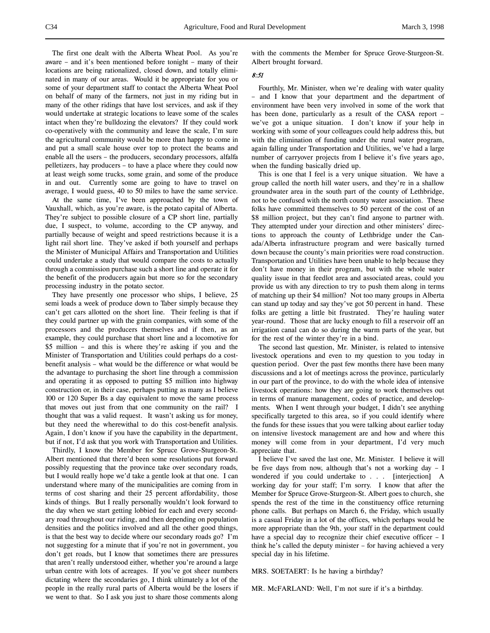The first one dealt with the Alberta Wheat Pool. As you're aware – and it's been mentioned before tonight – many of their locations are being rationalized, closed down, and totally eliminated in many of our areas. Would it be appropriate for you or some of your department staff to contact the Alberta Wheat Pool on behalf of many of the farmers, not just in my riding but in many of the other ridings that have lost services, and ask if they would undertake at strategic locations to leave some of the scales intact when they're bulldozing the elevators? If they could work co-operatively with the community and leave the scale, I'm sure the agricultural community would be more than happy to come in and put a small scale house over top to protect the beams and enable all the users – the producers, secondary processors, alfalfa pelletizers, hay producers – to have a place where they could now at least weigh some trucks, some grain, and some of the produce in and out. Currently some are going to have to travel on average, I would guess, 40 to 50 miles to have the same service.

At the same time, I've been approached by the town of Vauxhall, which, as you're aware, is the potato capital of Alberta. They're subject to possible closure of a CP short line, partially due, I suspect, to volume, according to the CP anyway, and partially because of weight and speed restrictions because it is a light rail short line. They've asked if both yourself and perhaps the Minister of Municipal Affairs and Transportation and Utilities could undertake a study that would compare the costs to actually through a commission purchase such a short line and operate it for the benefit of the producers again but more so for the secondary processing industry in the potato sector.

They have presently one processor who ships, I believe, 25 semi loads a week of produce down to Taber simply because they can't get cars allotted on the short line. Their feeling is that if they could partner up with the grain companies, with some of the processors and the producers themselves and if then, as an example, they could purchase that short line and a locomotive for \$5 million – and this is where they're asking if you and the Minister of Transportation and Utilities could perhaps do a costbenefit analysis – what would be the difference or what would be the advantage to purchasing the short line through a commission and operating it as opposed to putting \$5 million into highway construction or, in their case, perhaps putting as many as I believe 100 or 120 Super Bs a day equivalent to move the same process that moves out just from that one community on the rail? I thought that was a valid request. It wasn't asking us for money, but they need the wherewithal to do this cost-benefit analysis. Again, I don't know if you have the capability in the department, but if not, I'd ask that you work with Transportation and Utilities.

Thirdly, I know the Member for Spruce Grove-Sturgeon-St. Albert mentioned that there'd been some resolutions put forward possibly requesting that the province take over secondary roads, but I would really hope we'd take a gentle look at that one. I can understand where many of the municipalities are coming from in terms of cost sharing and their 25 percent affordability, those kinds of things. But I really personally wouldn't look forward to the day when we start getting lobbied for each and every secondary road throughout our riding, and then depending on population densities and the politics involved and all the other good things, is that the best way to decide where our secondary roads go? I'm not suggesting for a minute that if you're not in government, you don't get roads, but I know that sometimes there are pressures that aren't really understood either, whether you're around a large urban centre with lots of acreages. If you've got sheer numbers dictating where the secondaries go, I think ultimately a lot of the people in the really rural parts of Alberta would be the losers if we went to that. So I ask you just to share those comments along

with the comments the Member for Spruce Grove-Sturgeon-St. Albert brought forward.

### 8:51

Fourthly, Mr. Minister, when we're dealing with water quality – and I know that your department and the department of environment have been very involved in some of the work that has been done, particularly as a result of the CASA report we've got a unique situation. I don't know if your help in working with some of your colleagues could help address this, but with the elimination of funding under the rural water program, again falling under Transportation and Utilities, we've had a large number of carryover projects from I believe it's five years ago, when the funding basically dried up.

This is one that I feel is a very unique situation. We have a group called the north hill water users, and they're in a shallow groundwater area in the south part of the county of Lethbridge, not to be confused with the north county water association. These folks have committed themselves to 50 percent of the cost of an \$8 million project, but they can't find anyone to partner with. They attempted under your direction and other ministers' directions to approach the county of Lethbridge under the Canada/Alberta infrastructure program and were basically turned down because the county's main priorities were road construction. Transportation and Utilities have been unable to help because they don't have money in their program, but with the whole water quality issue in that feedlot area and associated areas, could you provide us with any direction to try to push them along in terms of matching up their \$4 million? Not too many groups in Alberta can stand up today and say they've got 50 percent in hand. These folks are getting a little bit frustrated. They're hauling water year-round. Those that are lucky enough to fill a reservoir off an irrigation canal can do so during the warm parts of the year, but for the rest of the winter they're in a bind.

The second last question, Mr. Minister, is related to intensive livestock operations and even to my question to you today in question period. Over the past few months there have been many discussions and a lot of meetings across the province, particularly in our part of the province, to do with the whole idea of intensive livestock operations: how they are going to work themselves out in terms of manure management, codes of practice, and developments. When I went through your budget, I didn't see anything specifically targeted to this area, so if you could identify where the funds for these issues that you were talking about earlier today on intensive livestock management are and how and where this money will come from in your department, I'd very much appreciate that.

I believe I've saved the last one, Mr. Minister. I believe it will be five days from now, although that's not a working day – I wondered if you could undertake to . . . [interjection] A working day for your staff; I'm sorry. I know that after the Member for Spruce Grove-Sturgeon-St. Albert goes to church, she spends the rest of the time in the constituency office returning phone calls. But perhaps on March 6, the Friday, which usually is a casual Friday in a lot of the offices, which perhaps would be more appropriate than the 9th, your staff in the department could have a special day to recognize their chief executive officer – I think he's called the deputy minister – for having achieved a very special day in his lifetime.

MRS. SOETAERT: Is he having a birthday?

MR. McFARLAND: Well, I'm not sure if it's a birthday.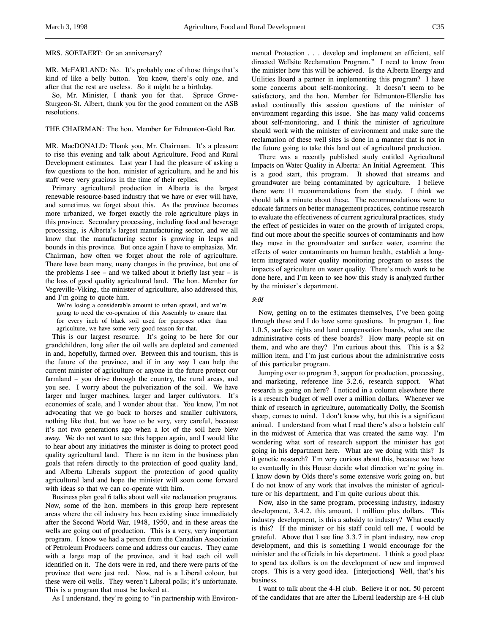MRS. SOETAERT: Or an anniversary?

MR. McFARLAND: No. It's probably one of those things that's kind of like a belly button. You know, there's only one, and after that the rest are useless. So it might be a birthday.

So, Mr. Minister, I thank you for that. Spruce Grove-Sturgeon-St. Albert, thank you for the good comment on the ASB resolutions.

### THE CHAIRMAN: The hon. Member for Edmonton-Gold Bar.

MR. MacDONALD: Thank you, Mr. Chairman. It's a pleasure to rise this evening and talk about Agriculture, Food and Rural Development estimates. Last year I had the pleasure of asking a few questions to the hon. minister of agriculture, and he and his staff were very gracious in the time of their replies.

Primary agricultural production in Alberta is the largest renewable resource-based industry that we have or ever will have, and sometimes we forget about this. As the province becomes more urbanized, we forget exactly the role agriculture plays in this province. Secondary processing, including food and beverage processing, is Alberta's largest manufacturing sector, and we all know that the manufacturing sector is growing in leaps and bounds in this province. But once again I have to emphasize, Mr. Chairman, how often we forget about the role of agriculture. There have been many, many changes in the province, but one of the problems I see – and we talked about it briefly last year – is the loss of good quality agricultural land. The hon. Member for Vegreville-Viking, the minister of agriculture, also addressed this, and I'm going to quote him.

We're losing a considerable amount to urban sprawl, and we're going to need the co-operation of this Assembly to ensure that for every inch of black soil used for purposes other than agriculture, we have some very good reason for that.

This is our largest resource. It's going to be here for our grandchildren, long after the oil wells are depleted and cemented in and, hopefully, farmed over. Between this and tourism, this is the future of the province, and if in any way I can help the current minister of agriculture or anyone in the future protect our farmland – you drive through the country, the rural areas, and you see. I worry about the pulverization of the soil. We have larger and larger machines, larger and larger cultivators. It's economies of scale, and I wonder about that. You know, I'm not advocating that we go back to horses and smaller cultivators, nothing like that, but we have to be very, very careful, because it's not two generations ago when a lot of the soil here blew away. We do not want to see this happen again, and I would like to hear about any initiatives the minister is doing to protect good quality agricultural land. There is no item in the business plan goals that refers directly to the protection of good quality land, and Alberta Liberals support the protection of good quality agricultural land and hope the minister will soon come forward with ideas so that we can co-operate with him.

Business plan goal 6 talks about well site reclamation programs. Now, some of the hon. members in this group here represent areas where the oil industry has been existing since immediately after the Second World War, 1948, 1950, and in these areas the wells are going out of production. This is a very, very important program. I know we had a person from the Canadian Association of Petroleum Producers come and address our caucus. They came with a large map of the province, and it had each oil well identified on it. The dots were in red, and there were parts of the province that were just red. Now, red is a Liberal colour, but these were oil wells. They weren't Liberal polls; it's unfortunate. This is a program that must be looked at.

As I understand, they're going to "in partnership with Environ-

mental Protection . . . develop and implement an efficient, self directed Wellsite Reclamation Program." I need to know from the minister how this will be achieved. Is the Alberta Energy and Utilities Board a partner in implementing this program? I have some concerns about self-monitoring. It doesn't seem to be satisfactory, and the hon. Member for Edmonton-Ellerslie has asked continually this session questions of the minister of environment regarding this issue. She has many valid concerns about self-monitoring, and I think the minister of agriculture should work with the minister of environment and make sure the reclamation of these well sites is done in a manner that is not in the future going to take this land out of agricultural production.

There was a recently published study entitled Agricultural Impacts on Water Quality in Alberta: An Initial Agreement. This is a good start, this program. It showed that streams and groundwater are being contaminated by agriculture. I believe there were 11 recommendations from the study. I think we should talk a minute about these. The recommendations were to educate farmers on better management practices, continue research to evaluate the effectiveness of current agricultural practices, study the effect of pesticides in water on the growth of irrigated crops, find out more about the specific sources of contaminants and how they move in the groundwater and surface water, examine the effects of water contaminants on human health, establish a longterm integrated water quality monitoring program to assess the impacts of agriculture on water quality. There's much work to be done here, and I'm keen to see how this study is analyzed further by the minister's department.

#### 9:01

Now, getting on to the estimates themselves, I've been going through these and I do have some questions. In program 1, line 1.0.5, surface rights and land compensation boards, what are the administrative costs of these boards? How many people sit on them, and who are they? I'm curious about this. This is a \$2 million item, and I'm just curious about the administrative costs of this particular program.

Jumping over to program 3, support for production, processing, and marketing, reference line 3.2.6, research support. What research is going on here? I noticed in a column elsewhere there is a research budget of well over a million dollars. Whenever we think of research in agriculture, automatically Dolly, the Scottish sheep, comes to mind. I don't know why, but this is a significant animal. I understand from what I read there's also a holstein calf in the midwest of America that was created the same way. I'm wondering what sort of research support the minister has got going in his department here. What are we doing with this? Is it genetic research? I'm very curious about this, because we have to eventually in this House decide what direction we're going in. I know down by Olds there's some extensive work going on, but I do not know of any work that involves the minister of agriculture or his department, and I'm quite curious about this.

Now, also in the same program, processing industry, industry development, 3.4.2, this amount, 1 million plus dollars. This industry development, is this a subsidy to industry? What exactly is this? If the minister or his staff could tell me, I would be grateful. Above that I see line 3.3.7 in plant industry, new crop development, and this is something I would encourage for the minister and the officials in his department. I think a good place to spend tax dollars is on the development of new and improved crops. This is a very good idea. [interjections] Well, that's his business.

I want to talk about the 4-H club. Believe it or not, 50 percent of the candidates that are after the Liberal leadership are 4-H club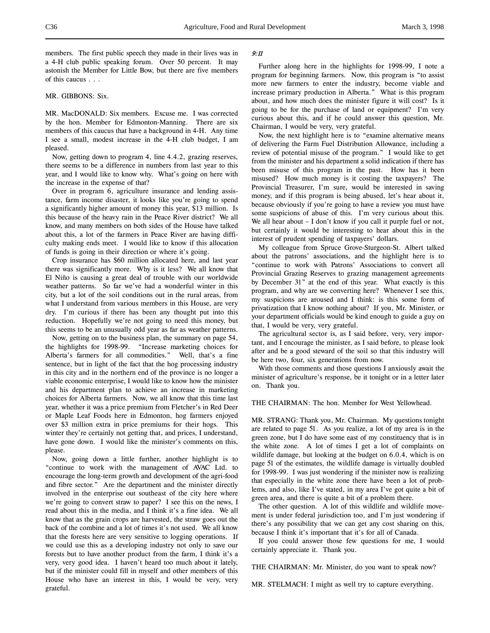members. The first public speech they made in their lives was in a 4-H club public speaking forum. Over 50 percent. It may astonish the Member for Little Bow, but there are five members of this caucus . . .

#### MR. GIBBONS: Six.

MR. MacDONALD: Six members. Excuse me. I was corrected by the hon. Member for Edmonton-Manning. There are six members of this caucus that have a background in 4-H. Any time I see a small, modest increase in the 4-H club budget, I am pleased.

Now, getting down to program 4, line 4.4.2, grazing reserves, there seems to be a difference in numbers from last year to this year, and I would like to know why. What's going on here with the increase in the expense of that?

Over in program 6, agriculture insurance and lending assistance, farm income disaster, it looks like you're going to spend a significantly higher amount of money this year, \$13 million. Is this because of the heavy rain in the Peace River district? We all know, and many members on both sides of the House have talked about this, a lot of the farmers in Peace River are having difficulty making ends meet. I would like to know if this allocation of funds is going in their direction or where it's going.

Crop insurance has \$60 million allocated here, and last year there was significantly more. Why is it less? We all know that El Niño is causing a great deal of trouble with our worldwide weather patterns. So far we've had a wonderful winter in this city, but a lot of the soil conditions out in the rural areas, from what I understand from various members in this House, are very dry. I'm curious if there has been any thought put into this reduction. Hopefully we're not going to need this money, but this seems to be an unusually odd year as far as weather patterns.

Now, getting on to the business plan, the summary on page 54, the highlights for 1998-99. "Increase marketing choices for Alberta's farmers for all commodities." Well, that's a fine sentence, but in light of the fact that the hog processing industry in this city and in the northern end of the province is no longer a viable economic enterprise, I would like to know how the minister and his department plan to achieve an increase in marketing choices for Alberta farmers. Now, we all know that this time last year, whether it was a price premium from Fletcher's in Red Deer or Maple Leaf Foods here in Edmonton, hog farmers enjoyed over \$3 million extra in price premiums for their hogs. This winter they're certainly not getting that, and prices, I understand, have gone down. I would like the minister's comments on this, please.

Now, going down a little further, another highlight is to "continue to work with the management of AVAC Ltd. to encourage the long-term growth and development of the agri-food and fibre sector." Are the department and the minister directly involved in the enterprise out southeast of the city here where we're going to convert straw to paper? I see this on the news, I read about this in the media, and I think it's a fine idea. We all know that as the grain crops are harvested, the straw goes out the back of the combine and a lot of times it's not used. We all know that the forests here are very sensitive to logging operations. If we could use this as a developing industry not only to save our forests but to have another product from the farm, I think it's a very, very good idea. I haven't heard too much about it lately, but if the minister could fill in myself and other members of this House who have an interest in this, I would be very, very grateful.

## 9:11

Further along here in the highlights for 1998-99, I note a program for beginning farmers. Now, this program is "to assist more new farmers to enter the industry, become viable and increase primary production in Alberta." What is this program about, and how much does the minister figure it will cost? Is it going to be for the purchase of land or equipment? I'm very curious about this, and if he could answer this question, Mr. Chairman, I would be very, very grateful.

Now, the next highlight here is to "examine alternative means of delivering the Farm Fuel Distribution Allowance, including a review of potential misuse of the program." I would like to get from the minister and his department a solid indication if there has been misuse of this program in the past. How has it been misused? How much money is it costing the taxpayers? The Provincial Treasurer, I'm sure, would be interested in saving money, and if this program is being abused, let's hear about it, because obviously if you're going to have a review you must have some suspicions of abuse of this. I'm very curious about this. We all hear about – I don't know if you call it purple fuel or not, but certainly it would be interesting to hear about this in the interest of prudent spending of taxpayers' dollars.

My colleague from Spruce Grove-Sturgeon-St. Albert talked about the patrons' associations, and the highlight here is to "continue to work with Patrons' Associations to convert all Provincial Grazing Reserves to grazing management agreements by December 31" at the end of this year. What exactly is this program, and why are we converting here? Whenever I see this, my suspicions are aroused and I think: is this some form of privatization that I know nothing about? If you, Mr. Minister, or your department officials would be kind enough to guide a guy on that, I would be very, very grateful.

The agricultural sector is, as I said before, very, very important, and I encourage the minister, as I said before, to please look after and be a good steward of the soil so that this industry will be here two, four, six generations from now.

With those comments and those questions I anxiously await the minister of agriculture's response, be it tonight or in a letter later on. Thank you.

THE CHAIRMAN: The hon. Member for West Yellowhead.

MR. STRANG: Thank you, Mr. Chairman. My questions tonight are related to page 51. As you realize, a lot of my area is in the green zone, but I do have some east of my constituency that is in the white zone. A lot of times I get a lot of complaints on wildlife damage, but looking at the budget on 6.0.4, which is on page 51 of the estimates, the wildlife damage is virtually doubled for 1998-99. I was just wondering if the minister now is realizing that especially in the white zone there have been a lot of problems, and also, like I've stated, in my area I've got quite a bit of green area, and there is quite a bit of a problem there.

The other question. A lot of this wildlife and wildlife movement is under federal jurisdiction too, and I'm just wondering if there's any possibility that we can get any cost sharing on this, because I think it's important that it's for all of Canada.

If you could answer those few questions for me, I would certainly appreciate it. Thank you.

THE CHAIRMAN: Mr. Minister, do you want to speak now?

MR. STELMACH: I might as well try to capture everything.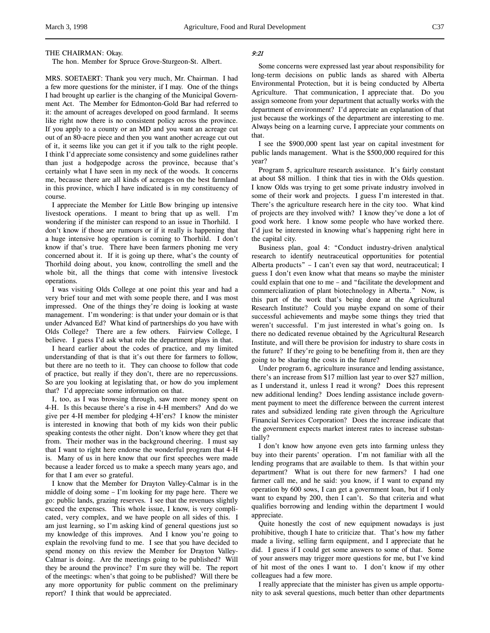#### THE CHAIRMAN: Okay.

The hon. Member for Spruce Grove-Sturgeon-St. Albert.

MRS. SOETAERT: Thank you very much, Mr. Chairman. I had a few more questions for the minister, if I may. One of the things I had brought up earlier is the changing of the Municipal Government Act. The Member for Edmonton-Gold Bar had referred to it: the amount of acreages developed on good farmland. It seems like right now there is no consistent policy across the province. If you apply to a county or an MD and you want an acreage cut out of an 80-acre piece and then you want another acreage cut out of it, it seems like you can get it if you talk to the right people. I think I'd appreciate some consistency and some guidelines rather than just a hodgepodge across the province, because that's certainly what I have seen in my neck of the woods. It concerns me, because there are all kinds of acreages on the best farmland in this province, which I have indicated is in my constituency of course.

I appreciate the Member for Little Bow bringing up intensive livestock operations. I meant to bring that up as well. I'm wondering if the minister can respond to an issue in Thorhild. I don't know if those are rumours or if it really is happening that a huge intensive hog operation is coming to Thorhild. I don't know if that's true. There have been farmers phoning me very concerned about it. If it is going up there, what's the county of Thorhild doing about, you know, controlling the smell and the whole bit, all the things that come with intensive livestock operations.

I was visiting Olds College at one point this year and had a very brief tour and met with some people there, and I was most impressed. One of the things they're doing is looking at waste management. I'm wondering: is that under your domain or is that under Advanced Ed? What kind of partnerships do you have with Olds College? There are a few others. Fairview College, I believe. I guess I'd ask what role the department plays in that.

I heard earlier about the codes of practice, and my limited understanding of that is that it's out there for farmers to follow, but there are no teeth to it. They can choose to follow that code of practice, but really if they don't, there are no repercussions. So are you looking at legislating that, or how do you implement that? I'd appreciate some information on that.

I, too, as I was browsing through, saw more money spent on 4-H. Is this because there's a rise in 4-H members? And do we give per 4-H member for pledging 4-H'ers? I know the minister is interested in knowing that both of my kids won their public speaking contests the other night. Don't know where they get that from. Their mother was in the background cheering. I must say that I want to right here endorse the wonderful program that 4-H is. Many of us in here know that our first speeches were made because a leader forced us to make a speech many years ago, and for that I am ever so grateful.

I know that the Member for Drayton Valley-Calmar is in the middle of doing some – I'm looking for my page here. There we go: public lands, grazing reserves. I see that the revenues slightly exceed the expenses. This whole issue, I know, is very complicated, very complex, and we have people on all sides of this. I am just learning, so I'm asking kind of general questions just so my knowledge of this improves. And I know you're going to explain the revolving fund to me. I see that you have decided to spend money on this review the Member for Drayton Valley-Calmar is doing. Are the meetings going to be published? Will they be around the province? I'm sure they will be. The report of the meetings: when's that going to be published? Will there be any more opportunity for public comment on the preliminary report? I think that would be appreciated.

## 9:21

Some concerns were expressed last year about responsibility for long-term decisions on public lands as shared with Alberta Environmental Protection, but it is being conducted by Alberta Agriculture. That communication, I appreciate that. Do you assign someone from your department that actually works with the department of environment? I'd appreciate an explanation of that just because the workings of the department are interesting to me. Always being on a learning curve, I appreciate your comments on that.

I see the \$900,000 spent last year on capital investment for public lands management. What is the \$500,000 required for this year?

Program 5, agriculture research assistance. It's fairly constant at about \$8 million. I think that ties in with the Olds question. I know Olds was trying to get some private industry involved in some of their work and projects. I guess I'm interested in that. There's the agriculture research here in the city too. What kind of projects are they involved with? I know they've done a lot of good work here. I know some people who have worked there. I'd just be interested in knowing what's happening right here in the capital city.

Business plan, goal 4: "Conduct industry-driven analytical research to identify neutraceutical opportunities for potential Alberta products" – I can't even say that word, neutraceutical; I guess I don't even know what that means so maybe the minister could explain that one to me – and "facilitate the development and commercialization of plant biotechnology in Alberta." Now, is this part of the work that's being done at the Agricultural Research Institute? Could you maybe expand on some of their successful achievements and maybe some things they tried that weren't successful. I'm just interested in what's going on. Is there no dedicated revenue obtained by the Agricultural Research Institute, and will there be provision for industry to share costs in the future? If they're going to be benefiting from it, then are they going to be sharing the costs in the future?

Under program 6, agriculture insurance and lending assistance, there's an increase from \$17 million last year to over \$27 million, as I understand it, unless I read it wrong? Does this represent new additional lending? Does lending assistance include government payment to meet the difference between the current interest rates and subsidized lending rate given through the Agriculture Financial Services Corporation? Does the increase indicate that the government expects market interest rates to increase substantially?

I don't know how anyone even gets into farming unless they buy into their parents' operation. I'm not familiar with all the lending programs that are available to them. Is that within your department? What is out there for new farmers? I had one farmer call me, and he said: you know, if I want to expand my operation by 600 sows, I can get a government loan, but if I only want to expand by 200, then I can't. So that criteria and what qualifies borrowing and lending within the department I would appreciate.

Quite honestly the cost of new equipment nowadays is just prohibitive, though I hate to criticize that. That's how my father made a living, selling farm equipment, and I appreciate that he did. I guess if I could get some answers to some of that. Some of your answers may trigger more questions for me, but I've kind of hit most of the ones I want to. I don't know if my other colleagues had a few more.

I really appreciate that the minister has given us ample opportunity to ask several questions, much better than other departments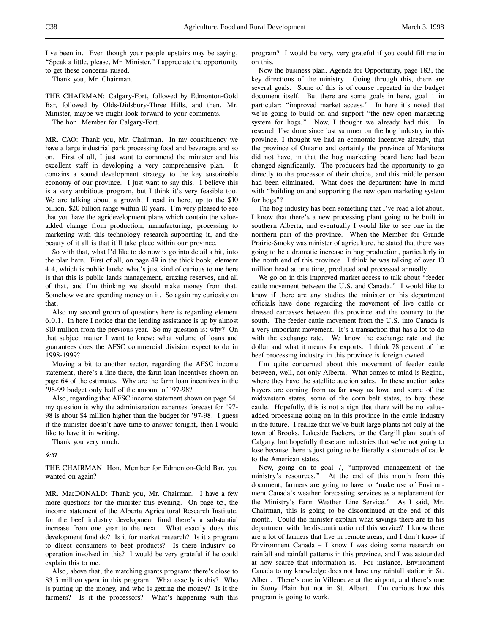I've been in. Even though your people upstairs may be saying, "Speak a little, please, Mr. Minister," I appreciate the opportunity to get these concerns raised.

Thank you, Mr. Chairman.

THE CHAIRMAN: Calgary-Fort, followed by Edmonton-Gold Bar, followed by Olds-Didsbury-Three Hills, and then, Mr. Minister, maybe we might look forward to your comments.

The hon. Member for Calgary-Fort.

MR. CAO: Thank you, Mr. Chairman. In my constituency we have a large industrial park processing food and beverages and so on. First of all, I just want to commend the minister and his excellent staff in developing a very comprehensive plan. It contains a sound development strategy to the key sustainable economy of our province. I just want to say this. I believe this is a very ambitious program, but I think it's very feasible too. We are talking about a growth, I read in here, up to the \$10 billion, \$20 billion range within 10 years. I'm very pleased to see that you have the agridevelopment plans which contain the valueadded change from production, manufacturing, processing to marketing with this technology research supporting it, and the beauty of it all is that it'll take place within our province.

So with that, what I'd like to do now is go into detail a bit, into the plan here. First of all, on page 49 in the thick book, element 4.4, which is public lands: what's just kind of curious to me here is that this is public lands management, grazing reserves, and all of that, and I'm thinking we should make money from that. Somehow we are spending money on it. So again my curiosity on that.

Also my second group of questions here is regarding element 6.0.1. In here I notice that the lending assistance is up by almost \$10 million from the previous year. So my question is: why? On that subject matter I want to know: what volume of loans and guarantees does the AFSC commercial division expect to do in 1998-1999?

Moving a bit to another sector, regarding the AFSC income statement, there's a line there, the farm loan incentives shown on page 64 of the estimates. Why are the farm loan incentives in the '98-99 budget only half of the amount of '97-98?

Also, regarding that AFSC income statement shown on page 64, my question is why the administration expenses forecast for '97- 98 is about \$4 million higher than the budget for '97-98. I guess if the minister doesn't have time to answer tonight, then I would like to have it in writing.

Thank you very much.

### 9:31

THE CHAIRMAN: Hon. Member for Edmonton-Gold Bar, you wanted on again?

MR. MacDONALD: Thank you, Mr. Chairman. I have a few more questions for the minister this evening. On page 65, the income statement of the Alberta Agricultural Research Institute, for the beef industry development fund there's a substantial increase from one year to the next. What exactly does this development fund do? Is it for market research? Is it a program to direct consumers to beef products? Is there industry cooperation involved in this? I would be very grateful if he could explain this to me.

Also, above that, the matching grants program: there's close to \$3.5 million spent in this program. What exactly is this? Who is putting up the money, and who is getting the money? Is it the farmers? Is it the processors? What's happening with this

program? I would be very, very grateful if you could fill me in on this.

Now the business plan, Agenda for Opportunity, page 183, the key directions of the ministry. Going through this, there are several goals. Some of this is of course repeated in the budget document itself. But there are some goals in here, goal 1 in particular: "improved market access." In here it's noted that we're going to build on and support "the new open marketing system for hogs." Now, I thought we already had this. In research I've done since last summer on the hog industry in this province, I thought we had an economic incentive already, that the province of Ontario and certainly the province of Manitoba did not have, in that the hog marketing board here had been changed significantly. The producers had the opportunity to go directly to the processor of their choice, and this middle person had been eliminated. What does the department have in mind with "building on and supporting the new open marketing system for hogs"?

The hog industry has been something that I've read a lot about. I know that there's a new processing plant going to be built in southern Alberta, and eventually I would like to see one in the northern part of the province. When the Member for Grande Prairie-Smoky was minister of agriculture, he stated that there was going to be a dramatic increase in hog production, particularly in the north end of this province. I think he was talking of over 10 million head at one time, produced and processed annually.

We go on in this improved market access to talk about "feeder cattle movement between the U.S. and Canada." I would like to know if there are any studies the minister or his department officials have done regarding the movement of live cattle or dressed carcasses between this province and the country to the south. The feeder cattle movement from the U.S. into Canada is a very important movement. It's a transaction that has a lot to do with the exchange rate. We know the exchange rate and the dollar and what it means for exports. I think 78 percent of the beef processing industry in this province is foreign owned.

I'm quite concerned about this movement of feeder cattle between, well, not only Alberta. What comes to mind is Regina, where they have the satellite auction sales. In these auction sales buyers are coming from as far away as Iowa and some of the midwestern states, some of the corn belt states, to buy these cattle. Hopefully, this is not a sign that there will be no valueadded processing going on in this province in the cattle industry in the future. I realize that we've built large plants not only at the town of Brooks, Lakeside Packers, or the Cargill plant south of Calgary, but hopefully these are industries that we're not going to lose because there is just going to be literally a stampede of cattle to the American states.

Now, going on to goal 7, "improved management of the ministry's resources." At the end of this month from this document, farmers are going to have to "make use of Environment Canada's weather forecasting services as a replacement for the Ministry's Farm Weather Line Service." As I said, Mr. Chairman, this is going to be discontinued at the end of this month. Could the minister explain what savings there are to his department with the discontinuation of this service? I know there are a lot of farmers that live in remote areas, and I don't know if Environment Canada – I know I was doing some research on rainfall and rainfall patterns in this province, and I was astounded at how scarce that information is. For instance, Environment Canada to my knowledge does not have any rainfall station in St. Albert. There's one in Villeneuve at the airport, and there's one in Stony Plain but not in St. Albert. I'm curious how this program is going to work.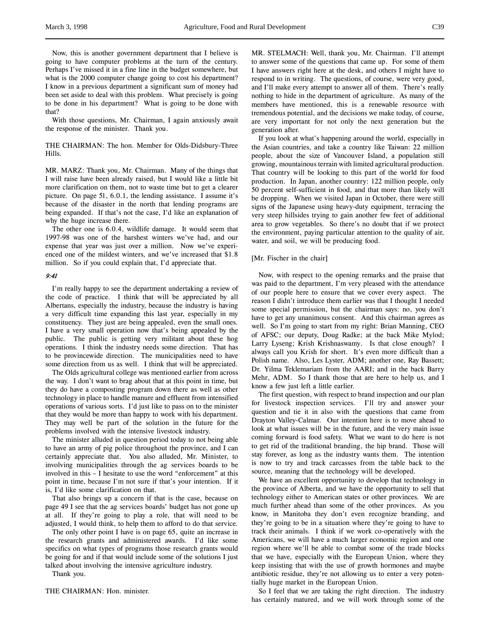Now, this is another government department that I believe is going to have computer problems at the turn of the century. Perhaps I've missed it in a fine line in the budget somewhere, but what is the 2000 computer change going to cost his department? I know in a previous department a significant sum of money had been set aside to deal with this problem. What precisely is going to be done in his department? What is going to be done with that?

With those questions, Mr. Chairman, I again anxiously await the response of the minister. Thank you.

THE CHAIRMAN: The hon. Member for Olds-Didsbury-Three Hills.

MR. MARZ: Thank you, Mr. Chairman. Many of the things that I will raise have been already raised, but I would like a little bit more clarification on them, not to waste time but to get a clearer picture. On page 51, 6.0.1, the lending assistance. I assume it's because of the disaster in the north that lending programs are being expanded. If that's not the case, I'd like an explanation of why the huge increase there.

The other one is 6.0.4, wildlife damage. It would seem that 1997-98 was one of the harshest winters we've had, and our expense that year was just over a million. Now we've experienced one of the mildest winters, and we've increased that \$1.8 million. So if you could explain that, I'd appreciate that.

### 9:41

I'm really happy to see the department undertaking a review of the code of practice. I think that will be appreciated by all Albertans, especially the industry, because the industry is having a very difficult time expanding this last year, especially in my constituency. They just are being appealed, even the small ones. I have a very small operation now that's being appealed by the public. The public is getting very militant about these hog operations. I think the industry needs some direction. That has to be provincewide direction. The municipalities need to have some direction from us as well. I think that will be appreciated.

The Olds agricultural college was mentioned earlier from across the way. I don't want to brag about that at this point in time, but they do have a composting program down there as well as other technology in place to handle manure and effluent from intensified operations of various sorts. I'd just like to pass on to the minister that they would be more than happy to work with his department. They may well be part of the solution in the future for the problems involved with the intensive livestock industry.

The minister alluded in question period today to not being able to have an army of pig police throughout the province, and I can certainly appreciate that. You also alluded, Mr. Minister, to involving municipalities through the ag services boards to be involved in this – I hesitate to use the word "enforcement" at this point in time, because I'm not sure if that's your intention. If it is, I'd like some clarification on that.

That also brings up a concern if that is the case, because on page 49 I see that the ag services boards' budget has not gone up at all. If they're going to play a role, that will need to be adjusted, I would think, to help them to afford to do that service.

The only other point I have is on page 65, quite an increase in the research grants and administered awards. I'd like some specifics on what types of programs those research grants would be going for and if that would include some of the solutions I just talked about involving the intensive agriculture industry.

Thank you.

THE CHAIRMAN: Hon. minister.

MR. STELMACH: Well, thank you, Mr. Chairman. I'll attempt to answer some of the questions that came up. For some of them I have answers right here at the desk, and others I might have to respond to in writing. The questions, of course, were very good, and I'll make every attempt to answer all of them. There's really nothing to hide in the department of agriculture. As many of the members have mentioned, this is a renewable resource with tremendous potential, and the decisions we make today, of course, are very important for not only the next generation but the generation after.

If you look at what's happening around the world, especially in the Asian countries, and take a country like Taiwan: 22 million people, about the size of Vancouver Island, a population still growing, mountainous terrain with limited agricultural production. That country will be looking to this part of the world for food production. In Japan, another country: 122 million people, only 50 percent self-sufficient in food, and that more than likely will be dropping. When we visited Japan in October, there were still signs of the Japanese using heavy-duty equipment, terracing the very steep hillsides trying to gain another few feet of additional area to grow vegetables. So there's no doubt that if we protect the environment, paying particular attention to the quality of air, water, and soil, we will be producing food.

### [Mr. Fischer in the chair]

Now, with respect to the opening remarks and the praise that was paid to the department, I'm very pleased with the attendance of our people here to ensure that we cover every aspect. The reason I didn't introduce them earlier was that I thought I needed some special permission, but the chairman says: no, you don't have to get any unanimous consent. And this chairman agrees as well. So I'm going to start from my right: Brian Manning, CEO of AFSC; our deputy, Doug Radke; at the back Mike Mylod; Larry Lyseng; Krish Krishnaswamy. Is that close enough? I always call you Krish for short. It's even more difficult than a Polish name. Also, Les Lyster, ADM; another one, Ray Bassett; Dr. Yilma Teklemariam from the AARI; and in the back Barry Mehr, ADM. So I thank those that are here to help us, and I know a few just left a little earlier.

The first question, with respect to brand inspection and our plan for livestock inspection services. I'll try and answer your question and tie it in also with the questions that came from Drayton Valley-Calmar. Our intention here is to move ahead to look at what issues will be in the future, and the very main issue coming forward is food safety. What we want to do here is not to get rid of the traditional branding, the hip brand. Those will stay forever, as long as the industry wants them. The intention is now to try and track carcasses from the table back to the source, meaning that the technology will be developed.

We have an excellent opportunity to develop that technology in the province of Alberta, and we have the opportunity to sell that technology either to American states or other provinces. We are much further ahead than some of the other provinces. As you know, in Manitoba they don't even recognize branding, and they're going to be in a situation where they're going to have to track their animals. I think if we work co-operatively with the Americans, we will have a much larger economic region and one region where we'll be able to combat some of the trade blocks that we have, especially with the European Union, where they keep insisting that with the use of growth hormones and maybe antibiotic residue, they're not allowing us to enter a very potentially huge market in the European Union.

So I feel that we are taking the right direction. The industry has certainly matured, and we will work through some of the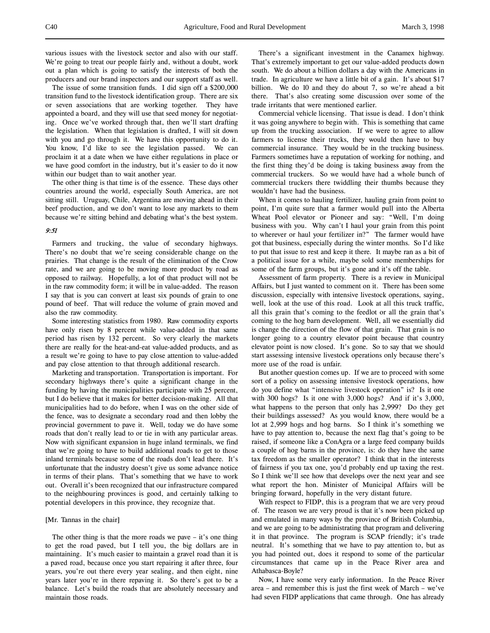various issues with the livestock sector and also with our staff. We're going to treat our people fairly and, without a doubt, work out a plan which is going to satisfy the interests of both the producers and our brand inspectors and our support staff as well.

The issue of some transition funds. I did sign off a \$200,000 transition fund to the livestock identification group. There are six or seven associations that are working together. They have appointed a board, and they will use that seed money for negotiating. Once we've worked through that, then we'll start drafting the legislation. When that legislation is drafted, I will sit down with you and go through it. We have this opportunity to do it. You know, I'd like to see the legislation passed. We can proclaim it at a date when we have either regulations in place or we have good comfort in the industry, but it's easier to do it now within our budget than to wait another year.

The other thing is that time is of the essence. These days other countries around the world, especially South America, are not sitting still. Uruguay, Chile, Argentina are moving ahead in their beef production, and we don't want to lose any markets to them because we're sitting behind and debating what's the best system.

### 9:51

Farmers and trucking, the value of secondary highways. There's no doubt that we're seeing considerable change on the prairies. That change is the result of the elimination of the Crow rate, and we are going to be moving more product by road as opposed to railway. Hopefully, a lot of that product will not be in the raw commodity form; it will be in value-added. The reason I say that is you can convert at least six pounds of grain to one pound of beef. That will reduce the volume of grain moved and also the raw commodity.

Some interesting statistics from 1980. Raw commodity exports have only risen by 8 percent while value-added in that same period has risen by 132 percent. So very clearly the markets there are really for the heat-and-eat value-added products, and as a result we're going to have to pay close attention to value-added and pay close attention to that through additional research.

Marketing and transportation. Transportation is important. For secondary highways there's quite a significant change in the funding by having the municipalities participate with 25 percent, but I do believe that it makes for better decision-making. All that municipalities had to do before, when I was on the other side of the fence, was to designate a secondary road and then lobby the provincial government to pave it. Well, today we do have some roads that don't really lead to or tie in with any particular areas. Now with significant expansion in huge inland terminals, we find that we're going to have to build additional roads to get to those inland terminals because some of the roads don't lead there. It's unfortunate that the industry doesn't give us some advance notice in terms of their plans. That's something that we have to work out. Overall it's been recognized that our infrastructure compared to the neighbouring provinces is good, and certainly talking to potential developers in this province, they recognize that.

### [Mr. Tannas in the chair]

The other thing is that the more roads we pave – it's one thing to get the road paved, but I tell you, the big dollars are in maintaining. It's much easier to maintain a gravel road than it is a paved road, because once you start repairing it after three, four years, you're out there every year sealing, and then eight, nine years later you're in there repaving it. So there's got to be a balance. Let's build the roads that are absolutely necessary and maintain those roads.

There's a significant investment in the Canamex highway. That's extremely important to get our value-added products down south. We do about a billion dollars a day with the Americans in trade. In agriculture we have a little bit of a gain. It's about \$17 billion. We do 10 and they do about 7, so we're ahead a bit there. That's also creating some discussion over some of the trade irritants that were mentioned earlier.

Commercial vehicle licensing. That issue is dead. I don't think it was going anywhere to begin with. This is something that came up from the trucking association. If we were to agree to allow farmers to license their trucks, they would then have to buy commercial insurance. They would be in the trucking business. Farmers sometimes have a reputation of working for nothing, and the first thing they'd be doing is taking business away from the commercial truckers. So we would have had a whole bunch of commercial truckers there twiddling their thumbs because they wouldn't have had the business.

When it comes to hauling fertilizer, hauling grain from point to point, I'm quite sure that a farmer would pull into the Alberta Wheat Pool elevator or Pioneer and say: "Well, I'm doing business with you. Why can't I haul your grain from this point to wherever or haul your fertilizer in?" The farmer would have got that business, especially during the winter months. So I'd like to put that issue to rest and keep it there. It maybe ran as a bit of a political issue for a while, maybe sold some memberships for some of the farm groups, but it's gone and it's off the table.

Assessment of farm property. There is a review in Municipal Affairs, but I just wanted to comment on it. There has been some discussion, especially with intensive livestock operations, saying, well, look at the use of this road. Look at all this truck traffic, all this grain that's coming to the feedlot or all the grain that's coming to the hog barn development. Well, all we essentially did is change the direction of the flow of that grain. That grain is no longer going to a country elevator point because that country elevator point is now closed. It's gone. So to say that we should start assessing intensive livestock operations only because there's more use of the road is unfair.

But another question comes up. If we are to proceed with some sort of a policy on assessing intensive livestock operations, how do you define what "intensive livestock operation" is? Is it one with 300 hogs? Is it one with 3,000 hogs? And if it's 3,000, what happens to the person that only has 2,999? Do they get their buildings assessed? As you would know, there would be a lot at 2,999 hogs and hog barns. So I think it's something we have to pay attention to, because the next flag that's going to be raised, if someone like a ConAgra or a large feed company builds a couple of hog barns in the province, is: do they have the same tax freedom as the smaller operator? I think that in the interests of fairness if you tax one, you'd probably end up taxing the rest. So I think we'll see how that develops over the next year and see what report the hon. Minister of Municipal Affairs will be bringing forward, hopefully in the very distant future.

With respect to FIDP, this is a program that we are very proud of. The reason we are very proud is that it's now been picked up and emulated in many ways by the province of British Columbia, and we are going to be administrating that program and delivering it in that province. The program is SCAP friendly; it's trade neutral. It's something that we have to pay attention to, but as you had pointed out, does it respond to some of the particular circumstances that came up in the Peace River area and Athabasca-Boyle?

Now, I have some very early information. In the Peace River area – and remember this is just the first week of March – we've had seven FIDP applications that came through. One has already